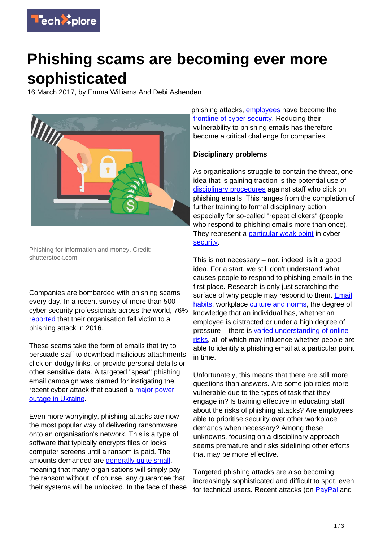

## **Phishing scams are becoming ever more sophisticated**

16 March 2017, by Emma Williams And Debi Ashenden



Phishing for information and money. Credit: shutterstock.com

Companies are bombarded with phishing scams every day. In a recent survey of more than 500 cyber security professionals across the world, 76% [reported](https://info.wombatsecurity.com/hubfs/State%20of%20the%20Phish%202017/Wombat%20State%20of%20the%20Phish%202017.pdf) that their organisation fell victim to a phishing attack in 2016.

These scams take the form of emails that try to persuade staff to download malicious attachments, click on dodgy links, or provide personal details or other sensitive data. A targeted "spear" phishing email campaign was blamed for instigating the recent cyber attack that caused a [major power](https://arstechnica.co.uk/security/2017/01/the-new-normal-yet-another-hacker-caused-power-outage-hits-ukraine/) [outage in Ukraine.](https://arstechnica.co.uk/security/2017/01/the-new-normal-yet-another-hacker-caused-power-outage-hits-ukraine/)

Even more worryingly, phishing attacks are now the most popular way of delivering ransomware onto an organisation's network. This is a type of software that typically encrypts files or locks computer screens until a ransom is paid. The amounts demanded are [generally quite small,](https://www.ncsc.gov.uk/guidance/protecting-your-organisation-ransomware) meaning that many organisations will simply pay the ransom without, of course, any guarantee that their systems will be unlocked. In the face of these phishing attacks, [employees](https://techxplore.com/tags/employees/) have become the [frontline of cyber security.](https://crestresearch.ac.uk/comment/employees-front-line-cyber-security/) Reducing their vulnerability to phishing emails has therefore become a critical challenge for companies.

## **Disciplinary problems**

As organisations struggle to contain the threat, one idea that is gaining traction is the potential use of [disciplinary procedures](http://www.techworld.com/news/security/employee-clicked-on-phishing-link-should-they-be-punished-3499799/) against staff who click on phishing emails. This ranges from the completion of further training to formal disciplinary action, especially for so-called "repeat clickers" (people who respond to phishing emails more than once). They represent a **particular weak point** in cyber **[security](https://techxplore.com/tags/security/)** 

This is not necessary – nor, indeed, is it a good idea. For a start, we still don't understand what causes people to respond to phishing emails in the first place. Research is only just scratching the surface of why people may respond to them. [Email](http://onlinelibrary.wiley.com/doi/10.1111/jcc4.12126/abstract) [habits,](http://onlinelibrary.wiley.com/doi/10.1111/jcc4.12126/abstract) workplace [culture and norms,](http://www.sciencedirect.com/science/article/pii/S0167404816000067) the degree of knowledge that an individual has, whether an employee is distracted or under a high degree of pressure – there is [varied understanding of online](http://journals.sagepub.com/doi/abs/10.1177/0093650215627483) [risks](http://journals.sagepub.com/doi/abs/10.1177/0093650215627483), all of which may influence whether people are able to identify a phishing email at a particular point in time.

Unfortunately, this means that there are still more questions than answers. Are some job roles more vulnerable due to the types of task that they engage in? Is training effective in educating staff about the risks of phishing attacks? Are employees able to prioritise security over other workplace demands when necessary? Among these unknowns, focusing on a disciplinary approach seems premature and risks sidelining other efforts that may be more effective.

Targeted phishing attacks are also becoming increasingly sophisticated and difficult to spot, even for technical users. Recent attacks (on [PayPal](https://www.proofpoint.com/us/threat-insight/post/hook-line-sinker-sophisticated-phishing-kit) and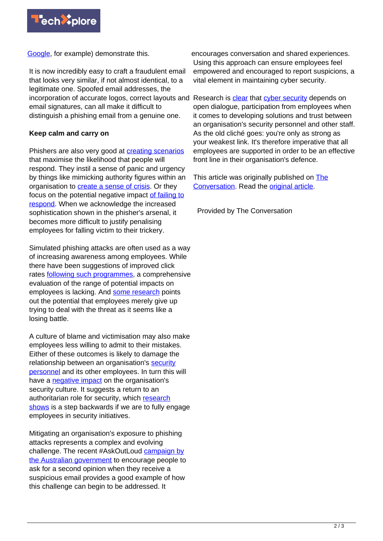

[Google,](http://thehackernews.com/2017/01/gmail-phishing-page.html) for example) demonstrate this.

It is now incredibly easy to craft a fraudulent email that looks very similar, if not almost identical, to a legitimate one. Spoofed email addresses, the incorporation of accurate logos, correct layouts and Research is [clear](http://ieeexplore.ieee.org/abstract/document/7478475/) that [cyber security](https://techxplore.com/tags/cyber+security/) depends on email signatures, can all make it difficult to distinguish a phishing email from a genuine one.

## **Keep calm and carry on**

Phishers are also very good at **[creating scenarios](http://onlinelibrary.wiley.com/doi/10.1002/asi.20779/abstract)** that maximise the likelihood that people will respond. They instil a sense of panic and urgency by things like mimicking authority figures within an organisation to **[create a sense of crisis](https://www.bloomberg.com/news/articles/2015-07-07/friday-afternoon-scam-cost-hedge-fund-1-2-million-and-cfo-s-job)**. Or they focus on the potential negative impact [of failing to](http://cacm.acm.org/magazines/2011/3/105315-understanding-scam-victims-seven-principles-for-systems-security/abstract) [respond](http://cacm.acm.org/magazines/2011/3/105315-understanding-scam-victims-seven-principles-for-systems-security/abstract). When we acknowledge the increased sophistication shown in the phisher's arsenal, it becomes more difficult to justify penalising employees for falling victim to their trickery.

Simulated phishing attacks are often used as a way of increasing awareness among employees. While there have been suggestions of improved click rates **following such programmes**, a comprehensive evaluation of the range of potential impacts on employees is lacking. And [some research](https://www.gov.uk/government/uploads/system/uploads/attachment_data/file/309652/14-835-cyber-security-behavioural-insights.pdf) points out the potential that employees merely give up trying to deal with the threat as it seems like a losing battle.

A culture of blame and victimisation may also make employees less willing to admit to their mistakes. Either of these outcomes is likely to damage the relationship between an organisation's [security](https://techxplore.com/tags/security+personnel/) [personnel](https://techxplore.com/tags/security+personnel/) and its other employees. In turn this will have a [negative impact](https://techxplore.com/tags/negative+impact/) on the organisation's security culture. It suggests a return to an authoritarian role for security, which [research](http://dl.acm.org/citation.cfm?id=2622862) [shows](http://dl.acm.org/citation.cfm?id=2622862) is a step backwards if we are to fully engage employees in security initiatives.

Mitigating an organisation's exposure to phishing attacks represents a complex and evolving challenge. The recent #AskOutLoud [campaign by](https://www.staysmartonline.gov.au/sid-2017) [the Australian government](https://www.staysmartonline.gov.au/sid-2017) to encourage people to ask for a second opinion when they receive a suspicious email provides a good example of how this challenge can begin to be addressed. It

encourages conversation and shared experiences. Using this approach can ensure employees feel empowered and encouraged to report suspicions, a vital element in maintaining cyber security.

open dialogue, participation from employees when it comes to developing solutions and trust between an organisation's security personnel and other staff. As the old cliché goes: you're only as strong as your weakest link. It's therefore imperative that all employees are supported in order to be an effective front line in their organisation's defence.

This article was originally published on [The](http://theconversation.com) [Conversation](http://theconversation.com). Read the [original article.](http://theconversation.com/phishing-scams-are-becoming-ever-more-sophisticated-and-firms-are-struggling-to-keep-up-73934)

Provided by The Conversation